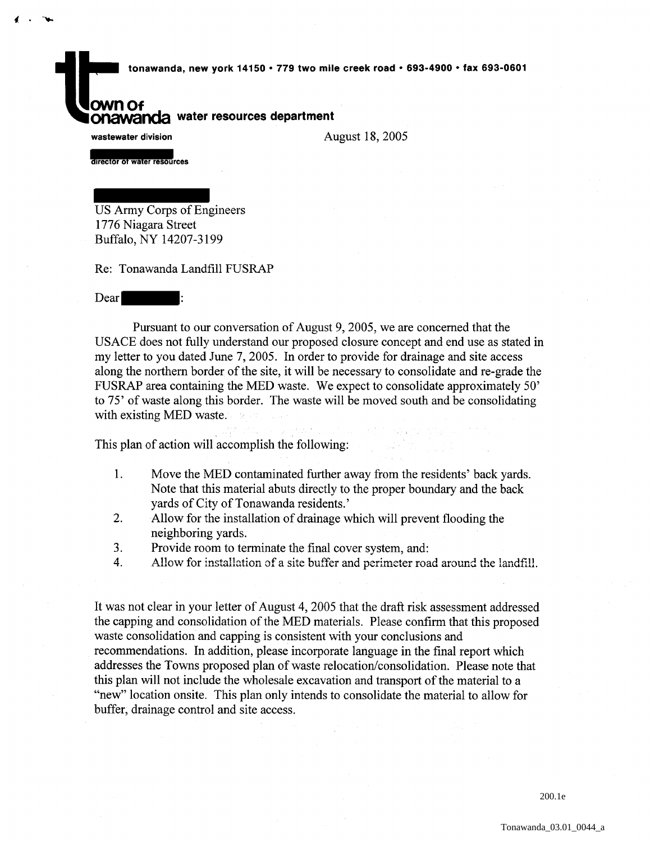tonawanda, new york 14150 • 779 two mile creek road • 693-4900 • fax 693-0601

**Onawanda** water resources department

wastewater division

 $4.14$ 

August 18, 2005

director of water resources

US Army Corps of Engineers 1776 Niagara Street Buffalo, NY 14207-3199

Re: Tonawanda Landfill FUSRAP

Dear

Pursuant to our conversation of August 9, 2005, we are concerned that the USACE does not fully understand our proposed closure concept and end use as stated in my letter to you dated June 7, 2005. In order to provide for drainage and site access along the northern border of the site, it will be necessary to consolidate and re-grade the FUSRAP area containing the MED waste. We expect to consolidate approximately 50' to 75' of waste along this border. The waste will be moved south and be consolidating with existing MED waste.

This plan of action will accomplish the following:

- 1. Move the MED contaminated further away from the residents' back yards. Note that this material abuts directly to the proper boundary and the back yards of City of Tonawanda residents.'
- 2. Allow for the installation of drainage which will prevent flooding the neighboring yards.
- 3. Provide room to terminate the final cover system, and:
- 4. Allow for installation of a site buffer and perimeter road around the landfill.

It was not clear in your letter of August 4, 2005 that the draft risk assessment addressed the capping and consolidation of the MED materials. Please confirm that this proposed waste consolidation and capping is consistent with your conclusions and recommendations. In addition, please incorporate language in the final report which addresses the Towns proposed plan of waste relocation/consolidation. Please note that this plan will not include the wholesale excavation and transport of the material to a "new" location onsite. This plan only intends to consolidate the material to allow for buffer, drainage control and site access.